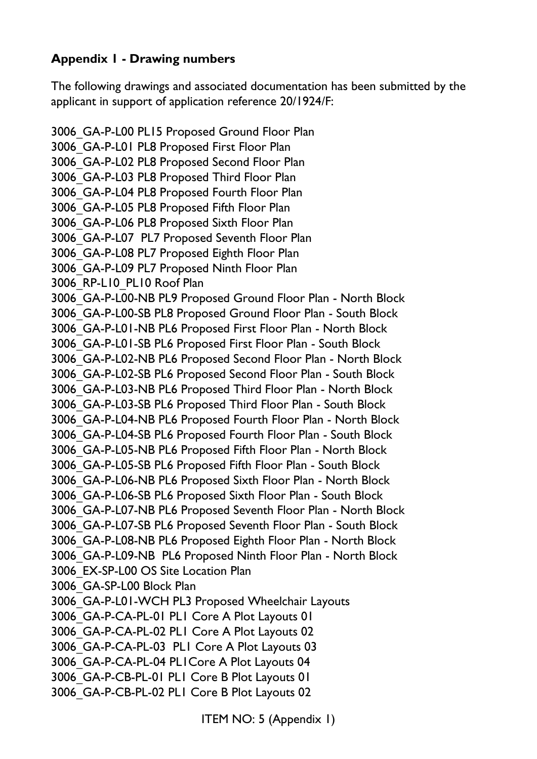## **Appendix 1 - Drawing numbers**

The following drawings and associated documentation has been submitted by the applicant in support of application reference 20/1924/F:

3006\_GA-P-L00 PL15 Proposed Ground Floor Plan 3006\_GA-P-L01 PL8 Proposed First Floor Plan 3006\_GA-P-L02 PL8 Proposed Second Floor Plan 3006\_GA-P-L03 PL8 Proposed Third Floor Plan 3006\_GA-P-L04 PL8 Proposed Fourth Floor Plan 3006\_GA-P-L05 PL8 Proposed Fifth Floor Plan 3006\_GA-P-L06 PL8 Proposed Sixth Floor Plan 3006\_GA-P-L07 PL7 Proposed Seventh Floor Plan 3006\_GA-P-L08 PL7 Proposed Eighth Floor Plan 3006\_GA-P-L09 PL7 Proposed Ninth Floor Plan 3006 RP-L10 PL10 Roof Plan 3006\_GA-P-L00-NB PL9 Proposed Ground Floor Plan - North Block 3006\_GA-P-L00-SB PL8 Proposed Ground Floor Plan - South Block 3006\_GA-P-L01-NB PL6 Proposed First Floor Plan - North Block 3006\_GA-P-L01-SB PL6 Proposed First Floor Plan - South Block 3006\_GA-P-L02-NB PL6 Proposed Second Floor Plan - North Block 3006\_GA-P-L02-SB PL6 Proposed Second Floor Plan - South Block 3006\_GA-P-L03-NB PL6 Proposed Third Floor Plan - North Block 3006\_GA-P-L03-SB PL6 Proposed Third Floor Plan - South Block 3006\_GA-P-L04-NB PL6 Proposed Fourth Floor Plan - North Block 3006\_GA-P-L04-SB PL6 Proposed Fourth Floor Plan - South Block 3006\_GA-P-L05-NB PL6 Proposed Fifth Floor Plan - North Block 3006\_GA-P-L05-SB PL6 Proposed Fifth Floor Plan - South Block 3006\_GA-P-L06-NB PL6 Proposed Sixth Floor Plan - North Block 3006\_GA-P-L06-SB PL6 Proposed Sixth Floor Plan - South Block 3006\_GA-P-L07-NB PL6 Proposed Seventh Floor Plan - North Block 3006\_GA-P-L07-SB PL6 Proposed Seventh Floor Plan - South Block 3006\_GA-P-L08-NB PL6 Proposed Eighth Floor Plan - North Block 3006\_GA-P-L09-NB PL6 Proposed Ninth Floor Plan - North Block 3006\_EX-SP-L00 OS Site Location Plan 3006\_GA-SP-L00 Block Plan 3006\_GA-P-L01-WCH PL3 Proposed Wheelchair Layouts 3006\_GA-P-CA-PL-01 PL1 Core A Plot Layouts 01 3006\_GA-P-CA-PL-02 PL1 Core A Plot Layouts 02 3006\_GA-P-CA-PL-03 PL1 Core A Plot Layouts 03 3006\_GA-P-CA-PL-04 PL1Core A Plot Layouts 04 3006\_GA-P-CB-PL-01 PL1 Core B Plot Layouts 01 3006\_GA-P-CB-PL-02 PL1 Core B Plot Layouts 02

ITEM NO: 5 (Appendix 1)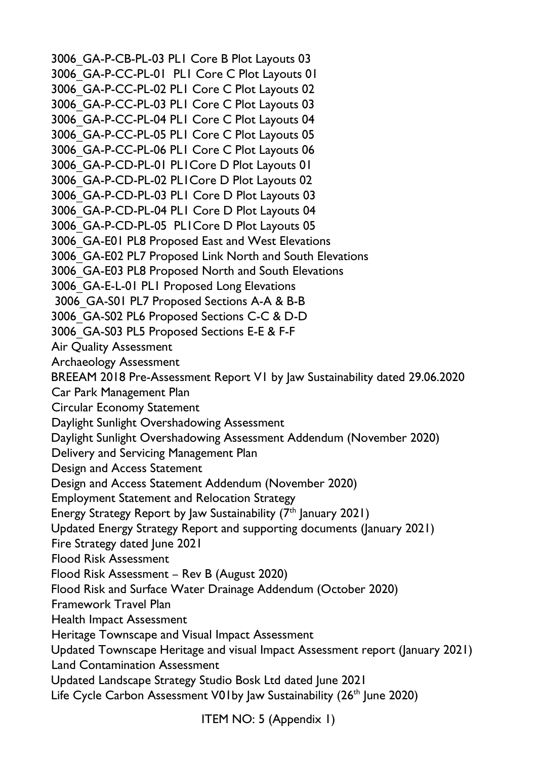3006\_GA-P-CB-PL-03 PL1 Core B Plot Layouts 03 3006\_GA-P-CC-PL-01 PL1 Core C Plot Layouts 01 3006\_GA-P-CC-PL-02 PL1 Core C Plot Layouts 02 3006\_GA-P-CC-PL-03 PL1 Core C Plot Layouts 03 3006\_GA-P-CC-PL-04 PL1 Core C Plot Layouts 04 3006\_GA-P-CC-PL-05 PL1 Core C Plot Layouts 05 3006\_GA-P-CC-PL-06 PL1 Core C Plot Layouts 06 3006\_GA-P-CD-PL-01 PL1Core D Plot Layouts 01 3006\_GA-P-CD-PL-02 PL1Core D Plot Layouts 02 3006\_GA-P-CD-PL-03 PL1 Core D Plot Layouts 03 3006\_GA-P-CD-PL-04 PL1 Core D Plot Layouts 04 3006\_GA-P-CD-PL-05 PL1Core D Plot Layouts 05 3006\_GA-E01 PL8 Proposed East and West Elevations 3006\_GA-E02 PL7 Proposed Link North and South Elevations 3006\_GA-E03 PL8 Proposed North and South Elevations 3006\_GA-E-L-01 PL1 Proposed Long Elevations 3006\_GA-S01 PL7 Proposed Sections A-A & B-B 3006\_GA-S02 PL6 Proposed Sections C-C & D-D 3006\_GA-S03 PL5 Proposed Sections E-E & F-F Air Quality Assessment Archaeology Assessment BREEAM 2018 Pre-Assessment Report V1 by Jaw Sustainability dated 29.06.2020 Car Park Management Plan Circular Economy Statement Daylight Sunlight Overshadowing Assessment Daylight Sunlight Overshadowing Assessment Addendum (November 2020) Delivery and Servicing Management Plan Design and Access Statement Design and Access Statement Addendum (November 2020) Employment Statement and Relocation Strategy Energy Strategy Report by Jaw Sustainability  $(7<sup>th</sup>$  January 2021) Updated Energy Strategy Report and supporting documents (January 2021) Fire Strategy dated June 2021 Flood Risk Assessment Flood Risk Assessment – Rev B (August 2020) Flood Risk and Surface Water Drainage Addendum (October 2020) Framework Travel Plan Health Impact Assessment Heritage Townscape and Visual Impact Assessment Updated Townscape Heritage and visual Impact Assessment report (January 2021) Land Contamination Assessment Updated Landscape Strategy Studio Bosk Ltd dated June 2021 Life Cycle Carbon Assessment V01by Jaw Sustainability (26<sup>th</sup> June 2020)

ITEM NO: 5 (Appendix 1)